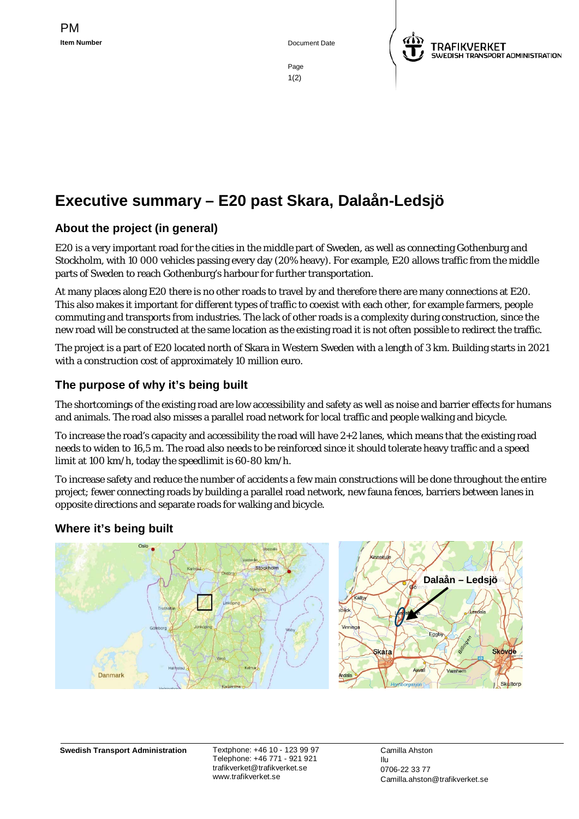**Item Number** Document Date



Page 1(2)

# **Executive summary – E20 past Skara, Dalaån-Ledsjö**

## **About the project (in general)**

E20 is a very important road for the cities in the middle part of Sweden, as well as connecting Gothenburg and Stockholm, with 10 000 vehicles passing every day (20% heavy). For example, E20 allows traffic from the middle parts of Sweden to reach Gothenburg's harbour for further transportation.

At many places along E20 there is no other roads to travel by and therefore there are many connections at E20. This also makes it important for different types of traffic to coexist with each other, for example farmers, people commuting and transports from industries. The lack of other roads is a complexity during construction, since the new road will be constructed at the same location as the existing road it is not often possible to redirect the traffic.

The project is a part of E20 located north of Skara in Western Sweden with a length of 3 km. Building starts in 2021 with a construction cost of approximately 10 million euro.

### **The purpose of why it's being built**

The shortcomings of the existing road are low accessibility and safety as well as noise and barrier effects for humans and animals. The road also misses a parallel road network for local traffic and people walking and bicycle.

To increase the road's capacity and accessibility the road will have 2+2 lanes, which means that the existing road needs to widen to 16,5 m. The road also needs to be reinforced since it should tolerate heavy traffic and a speed limit at 100 km/h, today the speedlimit is 60-80 km/h.

To increase safety and reduce the number of accidents a few main constructions will be done throughout the entire project; fewer connecting roads by building a parallel road network, new fauna fences, barriers between lanes in opposite directions and separate roads for walking and bicycle.

#### **Where it's being built**



**Swedish Transport Administration** Textphone: +46 10 - 123 99 97

Telephone: +46 771 - 921 921 trafikverket@trafikverket.se www.trafikverket.se

Camilla Ahston Ilu 0706-22 33 77 Camilla.ahston@trafikverket.se